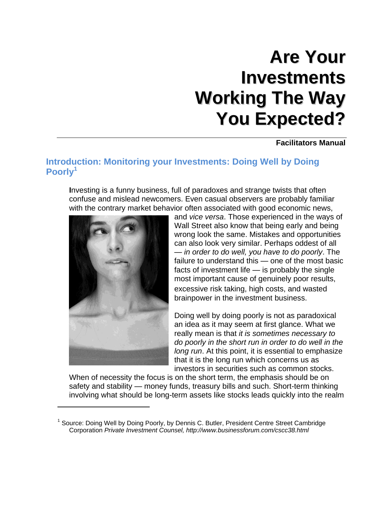# **Are Your Investments Working The Way You Expected?**

**Facilitators Manual** 

### <span id="page-0-0"></span>**Introduction: Monitoring your Investments: Doing Well by Doing Poorly<sup>1</sup>**

**I**nvesting is a funny business, full of paradoxes and strange twists that often confuse and mislead newcomers. Even casual observers are probably familiar with the contrary market behavior often associated with good economic news,



 $\overline{\phantom{a}}$ 

and *vice versa*. Those experienced in the ways of Wall Street also know that being early and being wrong look the same. Mistakes and opportunities can also look very similar. Perhaps oddest of all — *in order to do well, you have to do poorly*. The failure to understand this — one of the most basic facts of investment life — is probably the single most important cause of genuinely poor results, excessive risk taking, high costs, and wasted brainpower in the investment business.

Doing well by doing poorly is not as paradoxical an idea as it may seem at first glance. What we really mean is that *it is sometimes necessary to do poorly in the short run in order to do well in the long run*. At this point, it is essential to emphasize that it is the long run which concerns us as investors in securities such as common stocks.

When of necessity the focus is on the short term, the emphasis should be on safety and stability — money funds, treasury bills and such. Short-term thinking involving what should be long-term assets like stocks leads quickly into the realm

<sup>&</sup>lt;sup>1</sup> Source: Doing Well by Doing Poorly, by Dennis C. Butler, President Centre Street Cambridge Corporation *Private Investment Counsel, http://www.businessforum.com/cscc38.html*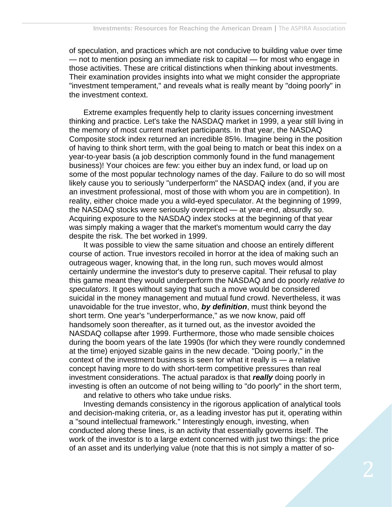of speculation, and practices which are not conducive to building value over time — not to mention posing an immediate risk to capital — for most who engage in those activities. These are critical distinctions when thinking about investments. Their examination provides insights into what we might consider the appropriate "investment temperament," and reveals what is really meant by "doing poorly" in the investment context.

Extreme examples frequently help to clarity issues concerning investment thinking and practice. Let's take the NASDAQ market in 1999, a year still living in the memory of most current market participants. In that year, the NASDAQ Composite stock index returned an incredible 85%. Imagine being in the position of having to think short term, with the goal being to match or beat this index on a year-to-year basis (a job description commonly found in the fund management business)! Your choices are few: you either buy an index fund, or load up on some of the most popular technology names of the day. Failure to do so will most likely cause you to seriously "underperform" the NASDAQ index (and, if you are an investment professional, most of those with whom you are in competition). In reality, either choice made you a wild-eyed speculator. At the beginning of 1999, the NASDAQ stocks were seriously overpriced — at year-end, absurdly so. Acquiring exposure to the NASDAQ index stocks at the beginning of that year was simply making a wager that the market's momentum would carry the day despite the risk. The bet worked in 1999.

It was possible to view the same situation and choose an entirely different course of action. True investors recoiled in horror at the idea of making such an outrageous wager, knowing that, in the long run, such moves would almost certainly undermine the investor's duty to preserve capital. Their refusal to play this game meant they would underperform the NASDAQ and do poorly *relative to speculators*. It goes without saying that such a move would be considered suicidal in the money management and mutual fund crowd. Nevertheless, it was unavoidable for the true investor, who, *by definition*, must think beyond the short term. One year's "underperformance," as we now know, paid off handsomely soon thereafter, as it turned out, as the investor avoided the NASDAQ collapse after 1999. Furthermore, those who made sensible choices during the boom years of the late 1990s (for which they were roundly condemned at the time) enjoyed sizable gains in the new decade. "Doing poorly," in the context of the investment business is seen for what it really is — a relative concept having more to do with short-term competitive pressures than real investment considerations. The actual paradox is that *really* doing poorly in investing is often an outcome of not being willing to "do poorly" in the short term, and relative to others who take undue risks.

Investing demands consistency in the rigorous application of analytical tools and decision-making criteria, or, as a leading investor has put it, operating within a "sound intellectual framework." Interestingly enough, investing, when conducted along these lines, is an activity that essentially governs itself. The work of the investor is to a large extent concerned with just two things: the price of an asset and its underlying value (note that this is not simply a matter of so-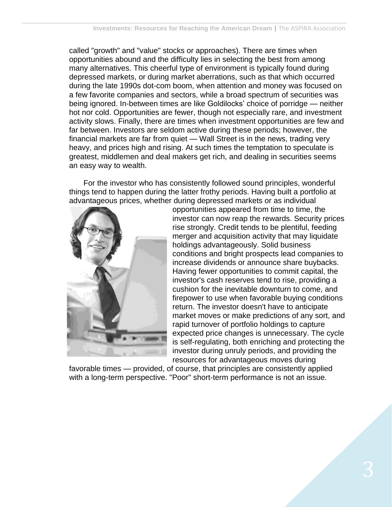called "growth" and "value" stocks or approaches). There are times when opportunities abound and the difficulty lies in selecting the best from among many alternatives. This cheerful type of environment is typically found during depressed markets, or during market aberrations, such as that which occurred during the late 1990s dot-com boom, when attention and money was focused on a few favorite companies and sectors, while a broad spectrum of securities was being ignored. In-between times are like Goldilocks' choice of porridge — neither hot nor cold. Opportunities are fewer, though not especially rare, and investment activity slows. Finally, there are times when investment opportunities are few and far between. Investors are seldom active during these periods; however, the financial markets are far from quiet — Wall Street is in the news, trading very heavy, and prices high and rising. At such times the temptation to speculate is greatest, middlemen and deal makers get rich, and dealing in securities seems an easy way to wealth.

For the investor who has consistently followed sound principles, wonderful things tend to happen during the latter frothy periods. Having built a portfolio at advantageous prices, whether during depressed markets or as individual



opportunities appeared from time to time, the investor can now reap the rewards. Security prices rise strongly. Credit tends to be plentiful, feeding merger and acquisition activity that may liquidate holdings advantageously. Solid business conditions and bright prospects lead companies to increase dividends or announce share buybacks. Having fewer opportunities to commit capital, the investor's cash reserves tend to rise, providing a cushion for the inevitable downturn to come, and firepower to use when favorable buying conditions return. The investor doesn't have to anticipate market moves or make predictions of any sort, and rapid turnover of portfolio holdings to capture expected price changes is unnecessary. The cycle is self-regulating, both enriching and protecting the investor during unruly periods, and providing the resources for advantageous moves during

favorable times — provided, of course, that principles are consistently applied with a long-term perspective. "Poor" short-term performance is not an issue.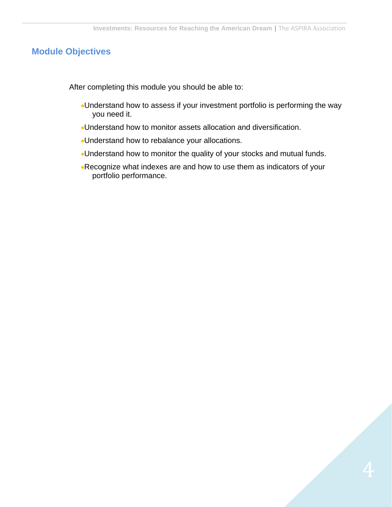### <span id="page-3-0"></span>**Module Objectives**

After completing this module you should be able to:

- Understand how to assess if your investment portfolio is performing the way you need it.
- Understand how to monitor assets allocation and diversification.
- Understand how to rebalance your allocations.
- Understand how to monitor the quality of your stocks and mutual funds.
- Recognize what indexes are and how to use them as indicators of your portfolio performance.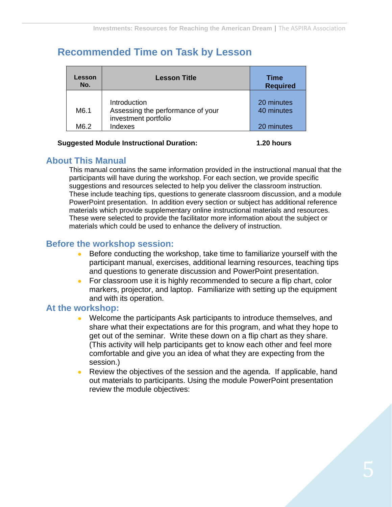# <span id="page-4-0"></span>**Recommended Time on Task by Lesson**

| Lesson<br>No. | <b>Lesson Title</b>                                                       | Time<br><b>Required</b>  |
|---------------|---------------------------------------------------------------------------|--------------------------|
| M6.1          | Introduction<br>Assessing the performance of your<br>investment portfolio | 20 minutes<br>40 minutes |
| M6.2          | Indexes                                                                   | 20 minutes               |

#### **Suggested Module Instructional Duration: 1.20 hours**

### <span id="page-4-1"></span>**About This Manual**

This manual contains the same information provided in the instructional manual that the participants will have during the workshop. For each section, we provide specific suggestions and resources selected to help you deliver the classroom instruction. These include teaching tips, questions to generate classroom discussion, and a module PowerPoint presentation. In addition every section or subject has additional reference materials which provide supplementary online instructional materials and resources. These were selected to provide the facilitator more information about the subject or materials which could be used to enhance the delivery of instruction.

### **Before the workshop session:**

- Before conducting the workshop, take time to familiarize yourself with the participant manual, exercises, additional learning resources, teaching tips and questions to generate discussion and PowerPoint presentation.
- For classroom use it is highly recommended to secure a flip chart, color markers, projector, and laptop. Familiarize with setting up the equipment and with its operation.

### **At the workshop:**

- Welcome the participants Ask participants to introduce themselves, and share what their expectations are for this program, and what they hope to get out of the seminar. Write these down on a flip chart as they share. (This activity will help participants get to know each other and feel more comfortable and give you an idea of what they are expecting from the session.)
- Review the objectives of the session and the agenda. If applicable, hand out materials to participants. Using the module PowerPoint presentation review the module objectives: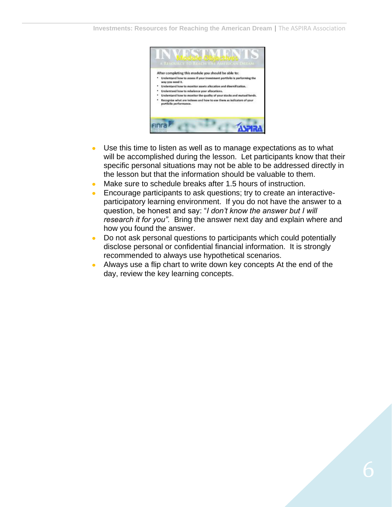

- Use this time to listen as well as to manage expectations as to what  $\bullet$ will be accomplished during the lesson. Let participants know that their specific personal situations may not be able to be addressed directly in the lesson but that the information should be valuable to them.
- Make sure to schedule breaks after 1.5 hours of instruction.  $\bullet$
- Encourage participants to ask questions; try to create an interactive- $\bullet$ participatory learning environment. If you do not have the answer to a question, be honest and say: "*I don't know the answer but I will research it for you".* Bring the answer next day and explain where and how you found the answer.
- Do not ask personal questions to participants which could potentially  $\bullet$ disclose personal or confidential financial information. It is strongly recommended to always use hypothetical scenarios.
- Always use a flip chart to write down key concepts At the end of the day, review the key learning concepts.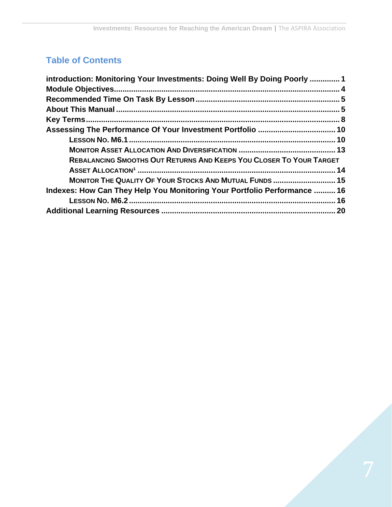## **Table of Contents**

| introduction: Monitoring Your Investments: Doing Well By Doing Poorly  1 |  |
|--------------------------------------------------------------------------|--|
|                                                                          |  |
|                                                                          |  |
|                                                                          |  |
|                                                                          |  |
|                                                                          |  |
|                                                                          |  |
|                                                                          |  |
| REBALANCING SMOOTHS OUT RETURNS AND KEEPS YOU CLOSER TO YOUR TARGET      |  |
|                                                                          |  |
| MONITOR THE QUALITY OF YOUR STOCKS AND MUTUAL FUNDS  15                  |  |
| Indexes: How Can They Help You Monitoring Your Portfolio Performance  16 |  |
|                                                                          |  |
|                                                                          |  |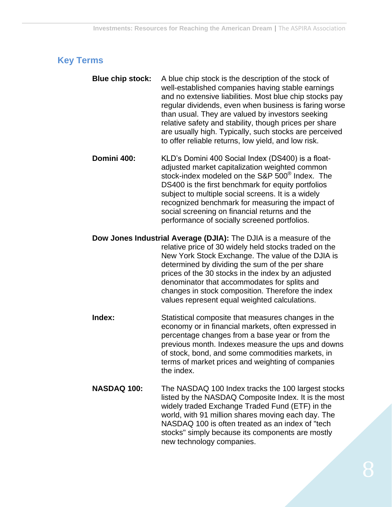## <span id="page-7-0"></span>**Key Terms**

- **Blue chip stock:** A blue chip stock is the description of the stock of well-established companies having stable earnings and no extensive liabilities. Most blue chip stocks pay regular dividends, even when business is faring worse than usual. They are valued by investors seeking relative safety and stability, though prices per share are usually high. Typically, such stocks are perceived to offer reliable returns, low yield, and low risk.
- **Domini 400:** KLD's Domini 400 Social Index (DS400) is a floatadjusted market capitalization weighted common stock-index modeled on the S&P 500® Index. The DS400 is the first benchmark for equity portfolios subject to multiple social screens. It is a widely recognized benchmark for measuring the impact of social screening on financial returns and the performance of socially screened portfolios.
- **Dow Jones Industrial Average (DJIA):** The DJIA is a measure of the relative price of 30 widely held stocks traded on the New York Stock Exchange. The value of the DJIA is determined by dividing the sum of the per share prices of the 30 stocks in the index by an adjusted denominator that accommodates for splits and changes in stock composition. Therefore the index values represent equal weighted calculations.
- **Index:** Statistical composite that measures changes in the economy or in financial markets, often expressed in percentage changes from a base year or from the previous month. Indexes measure the ups and downs of stock, bond, and some commodities markets, in terms of market prices and weighting of companies the index.
- **NASDAQ 100:** The NASDAQ 100 Index tracks the 100 largest stocks listed by the NASDAQ Composite Index. It is the most widely traded Exchange Traded Fund (ETF) in the world, with 91 million shares moving each day. The NASDAQ 100 is often treated as an index of "tech stocks" simply because its components are mostly new technology companies.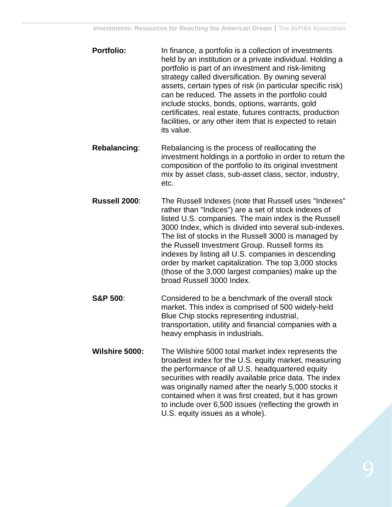- **Portfolio:** In finance, a portfolio is a collection of investments held by an institution or a private individual. Holding a portfolio is part of an investment and risk-limiting strategy called diversification. By owning several assets, certain types of risk (in particular specific risk) can be reduced. The assets in the portfolio could include stocks, bonds, options, warrants, gold certificates, real estate, futures contracts, production facilities, or any other item that is expected to retain its value.
- **Rebalancing:** Rebalancing is the process of reallocating the investment holdings in a portfolio in order to return the composition of the portfolio to its original investment mix by asset class, sub-asset class, sector, industry, etc.
- **Russell 2000**: The Russell Indexes (note that Russell uses "Indexes" rather than "Indices") are a set of stock indexes of listed U.S. companies. The main index is the Russell 3000 Index, which is divided into several sub-indexes. The list of stocks in the Russell 3000 is managed by the Russell Investment Group. Russell forms its indexes by listing all U.S. companies in descending order by market capitalization. The top 3,000 stocks (those of the 3,000 largest companies) make up the broad Russell 3000 Index.
- **S&P 500:** Considered to be a benchmark of the overall stock market. This index is comprised of 500 widely-held Blue Chip stocks representing industrial, transportation, utility and financial companies with a heavy emphasis in industrials.
- **Wilshire 5000:** The Wilshire 5000 total market index represents the broadest index for the U.S. equity market, measuring the performance of all U.S. headquartered equity securities with readily available price data. The index was originally named after the nearly 5,000 stocks it contained when it was first created, but it has grown to include over 6,500 issues (reflecting the growth in U.S. equity issues as a whole).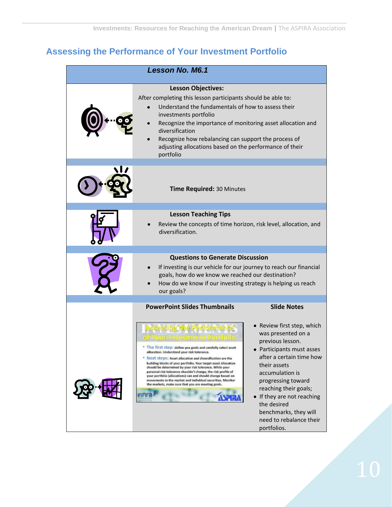# <span id="page-9-0"></span>**Assessing the Performance of Your Investment Portfolio**

<span id="page-9-1"></span>

| Lesson No. M6.1 |                                                                                                                                                                                                                                                                                                                                                                                                                                                                                                                                                                                                                              |                                                                                                                                                                                                                                                                                  |  |  |
|-----------------|------------------------------------------------------------------------------------------------------------------------------------------------------------------------------------------------------------------------------------------------------------------------------------------------------------------------------------------------------------------------------------------------------------------------------------------------------------------------------------------------------------------------------------------------------------------------------------------------------------------------------|----------------------------------------------------------------------------------------------------------------------------------------------------------------------------------------------------------------------------------------------------------------------------------|--|--|
|                 | <b>Lesson Objectives:</b><br>After completing this lesson participants should be able to:<br>Understand the fundamentals of how to assess their<br>investments portfolio<br>Recognize the importance of monitoring asset allocation and<br>diversification<br>Recognize how rebalancing can support the process of<br>adjusting allocations based on the performance of their<br>portfolio                                                                                                                                                                                                                                   |                                                                                                                                                                                                                                                                                  |  |  |
|                 | Time Required: 30 Minutes                                                                                                                                                                                                                                                                                                                                                                                                                                                                                                                                                                                                    |                                                                                                                                                                                                                                                                                  |  |  |
|                 | <b>Lesson Teaching Tips</b><br>Review the concepts of time horizon, risk level, allocation, and<br>diversification.                                                                                                                                                                                                                                                                                                                                                                                                                                                                                                          |                                                                                                                                                                                                                                                                                  |  |  |
|                 | <b>Questions to Generate Discussion</b><br>If investing is our vehicle for our journey to reach our financial<br>goals, how do we know we reached our destination?<br>How do we know if our investing strategy is helping us reach<br>our goals?                                                                                                                                                                                                                                                                                                                                                                             |                                                                                                                                                                                                                                                                                  |  |  |
|                 | <b>PowerPoint Slides Thumbnails</b><br>sessing the Perronnia<br>* The first step: define you goals and carefully select asset<br>allocation. Understand your risk tolerance.<br>* Next steps: Asset allocation and diversification are the<br>building blocks of your portfolio. Your target asset allocation<br>should be determined by your risk tolerance. While your<br>personal risk tolerance shouldn't change, the risk profile of<br>your portfolio (allocations) can and should change based on<br>movements in the market and individual securities. Monitor<br>the markets, make sure that you are meeting goals. | <b>Slide Notes</b><br>• Review first step, which<br>was presented on a<br>previous lesson.<br>Participants must asses<br>after a certain time how<br>their assets<br>accumulation is<br>progressing toward<br>reaching their goals;<br>• If they are not reaching<br>the desired |  |  |
|                 |                                                                                                                                                                                                                                                                                                                                                                                                                                                                                                                                                                                                                              | benchmarks, they will<br>need to rebalance their<br>portfolios.                                                                                                                                                                                                                  |  |  |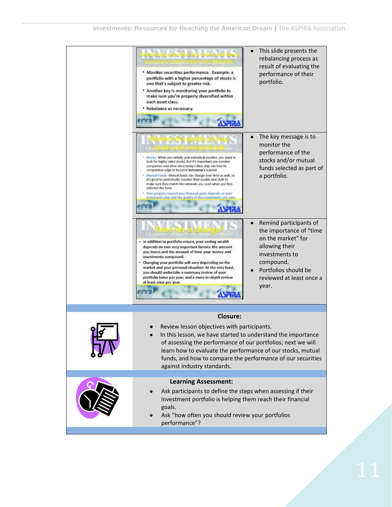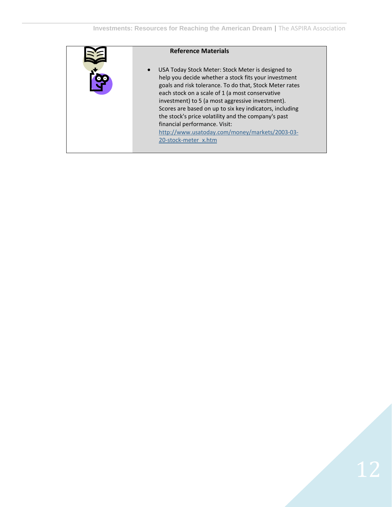| <b>Reference Materials</b>                                                                                                                                                                                                                                                                                                                                                                                                                                                                               |
|----------------------------------------------------------------------------------------------------------------------------------------------------------------------------------------------------------------------------------------------------------------------------------------------------------------------------------------------------------------------------------------------------------------------------------------------------------------------------------------------------------|
| USA Today Stock Meter: Stock Meter is designed to<br>help you decide whether a stock fits your investment<br>goals and risk tolerance. To do that, Stock Meter rates<br>each stock on a scale of 1 (a most conservative<br>investment) to 5 (a most aggressive investment).<br>Scores are based on up to six key indicators, including<br>the stock's price volatility and the company's past<br>financial performance. Visit:<br>http://www.usatoday.com/money/markets/2003-03-<br>20-stock-meter x.htm |
|                                                                                                                                                                                                                                                                                                                                                                                                                                                                                                          |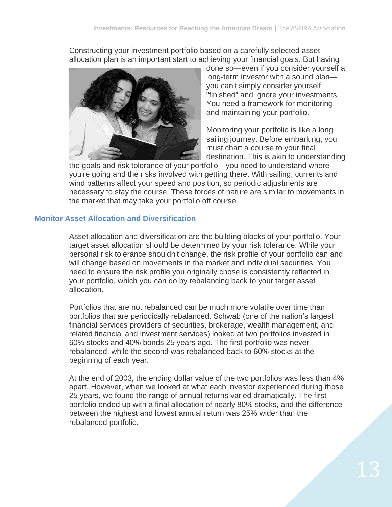Constructing your investment portfolio based on a carefully selected asset allocation plan is an important start to achieving your financial goals. But having



done so—even if you consider yourself a long-term investor with a sound plan you can't simply consider yourself "finished" and ignore your investments. You need a framework for monitoring and maintaining your portfolio.

Monitoring your portfolio is like a long sailing journey. Before embarking, you must chart a course to your final destination. This is akin to understanding

the goals and risk tolerance of your portfolio—you need to understand where you're going and the risks involved with getting there. With sailing, currents and wind patterns affect your speed and position, so periodic adjustments are necessary to stay the course. These forces of nature are similar to movements in the market that may take your portfolio off course.

### <span id="page-12-0"></span>**Monitor Asset Allocation and Diversification**

Asset allocation and diversification are the building blocks of your portfolio. Your target asset allocation should be determined by your risk tolerance. While your personal risk tolerance shouldn't change, the risk profile of your portfolio can and will change based on movements in the market and individual securities. You need to ensure the risk profile you originally chose is consistently reflected in your portfolio, which you can do by rebalancing back to your target asset allocation.

Portfolios that are not rebalanced can be much more volatile over time than portfolios that are periodically rebalanced. Schwab (one of the nation's largest financial services providers of securities, brokerage, wealth management, and related financial and investment services) looked at two portfolios invested in 60% stocks and 40% bonds 25 years ago. The first portfolio was never rebalanced, while the second was rebalanced back to 60% stocks at the beginning of each year.

At the end of 2003, the ending dollar value of the two portfolios was less than 4% apart. However, when we looked at what each investor experienced during those 25 years, we found the range of annual returns varied dramatically. The first portfolio ended up with a final allocation of nearly 80% stocks, and the difference between the highest and lowest annual return was 25% wider than the rebalanced portfolio.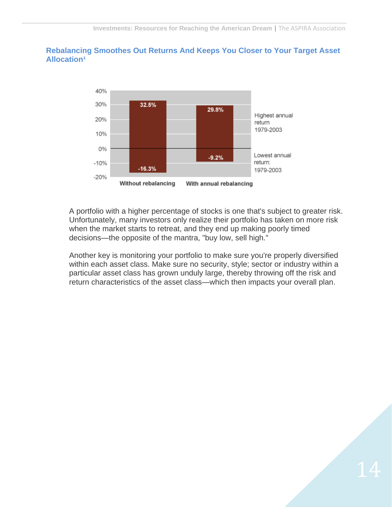### <span id="page-13-0"></span>**Rebalancing Smoothes Out Returns And Keeps You Closer to Your Target Asset Allocation<sup>1</sup>**



A portfolio with a higher percentage of stocks is one that's subject to greater risk. Unfortunately, many investors only realize their portfolio has taken on more risk when the market starts to retreat, and they end up making poorly timed decisions—the opposite of the mantra, "buy low, sell high."

Another key is monitoring your portfolio to make sure you're properly diversified within each asset class. Make sure no security, style; sector or industry within a particular asset class has grown unduly large, thereby throwing off the risk and return characteristics of the asset class—which then impacts your overall plan.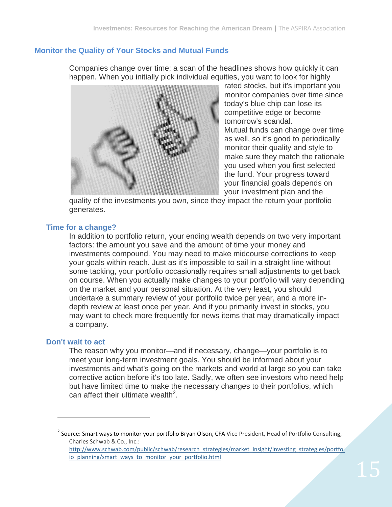### <span id="page-14-0"></span>**Monitor the Quality of Your Stocks and Mutual Funds**

Companies change over time; a scan of the headlines shows how quickly it can happen. When you initially pick individual equities, you want to look for highly



rated stocks, but it's important you monitor companies over time since today's blue chip can lose its competitive edge or become tomorrow's scandal. Mutual funds can change over time as well, so it's good to periodically

monitor their quality and style to make sure they match the rationale you used when you first selected the fund. Your progress toward your financial goals depends on your investment plan and the

quality of the investments you own, since they impact the return your portfolio generates.

#### **Time for a change?**

In addition to portfolio return, your ending wealth depends on two very important factors: the amount you save and the amount of time your money and investments compound. You may need to make midcourse corrections to keep your goals within reach. Just as it's impossible to sail in a straight line without some tacking, your portfolio occasionally requires small adjustments to get back on course. When you actually make changes to your portfolio will vary depending on the market and your personal situation. At the very least, you should undertake a summary review of your portfolio twice per year, and a more indepth review at least once per year. And if you primarily invest in stocks, you may want to check more frequently for news items that may dramatically impact a company.

#### **Don't wait to act**

 $\overline{a}$ 

The reason why you monitor—and if necessary, change—your portfolio is to meet your long-term investment goals. You should be informed about your investments and what's going on the markets and world at large so you can take corrective action before it's too late. Sadly, we often see investors who need help but have limited time to make the necessary changes to their portfolios, which can affect their ultimate wealth<sup>2</sup>.

<sup>2</sup> Source: Smart ways to monitor your portfolio Bryan Olson, CFA Vice President, Head of Portfolio Consulting, Charles Schwab & Co., Inc.: [http://www.schwab.com/public/schwab/research\\_strategies/market\\_insight/investing\\_strategies/portfol](http://www.schwab.com/public/schwab/research_strategies/market_insight/investing_strategies/portfolio_planning/smart_ways_to_monitor_your_portfolio.html) [io\\_planning/smart\\_ways\\_to\\_monitor\\_your\\_portfolio.html](http://www.schwab.com/public/schwab/research_strategies/market_insight/investing_strategies/portfolio_planning/smart_ways_to_monitor_your_portfolio.html)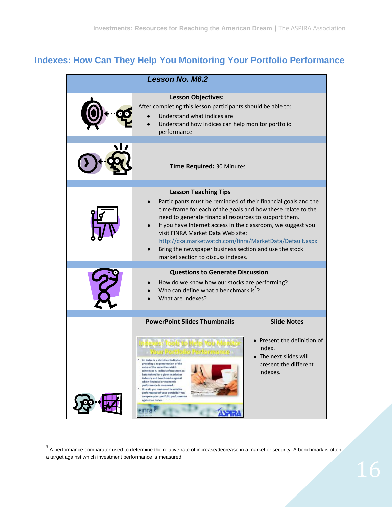# <span id="page-15-0"></span>**Indexes: How Can They Help You Monitoring Your Portfolio Performance**

<span id="page-15-1"></span>

| <b>Lesson No. M6.2</b> |                                                                                                                                                                                                                                                                                                                                                                                                                                                                   |                                                                                                      |  |  |
|------------------------|-------------------------------------------------------------------------------------------------------------------------------------------------------------------------------------------------------------------------------------------------------------------------------------------------------------------------------------------------------------------------------------------------------------------------------------------------------------------|------------------------------------------------------------------------------------------------------|--|--|
|                        | <b>Lesson Objectives:</b><br>After completing this lesson participants should be able to:<br>Understand what indices are<br>Understand how indices can help monitor portfolio<br>performance                                                                                                                                                                                                                                                                      |                                                                                                      |  |  |
|                        | Time Required: 30 Minutes                                                                                                                                                                                                                                                                                                                                                                                                                                         |                                                                                                      |  |  |
|                        | <b>Lesson Teaching Tips</b>                                                                                                                                                                                                                                                                                                                                                                                                                                       |                                                                                                      |  |  |
|                        | Participants must be reminded of their financial goals and the<br>time-frame for each of the goals and how these relate to the<br>need to generate financial resources to support them.<br>If you have Internet access in the classroom, we suggest you<br>visit FINRA Market Data Web site:<br>http://cxa.marketwatch.com/finra/MarketData/Default.aspx<br>Bring the newspaper business section and use the stock<br>market section to discuss indexes.          |                                                                                                      |  |  |
|                        | <b>Questions to Generate Discussion</b>                                                                                                                                                                                                                                                                                                                                                                                                                           |                                                                                                      |  |  |
|                        | How do we know how our stocks are performing?<br>Who can define what a benchmark is <sup>3</sup> ?<br>What are indexes?                                                                                                                                                                                                                                                                                                                                           |                                                                                                      |  |  |
|                        | <b>PowerPoint Slides Thumbnails</b>                                                                                                                                                                                                                                                                                                                                                                                                                               | <b>Slide Notes</b>                                                                                   |  |  |
|                        | <b>MONTRONIO IO PERIODERE</b><br>An index is a statistical indicator<br>providing a representation of the<br>value of the securities which<br>constitute it. Indices often serve as<br>barometers for a given market or<br>industry and benchmarks against<br>which financial or economic<br>performance is measured.<br>How do you measure the relative<br>performance of your portfolio? You<br>compare your portfolio performance<br>against an index.<br>anns | • Present the definition of<br>index.<br>• The next slides will<br>present the different<br>indexes. |  |  |

 $\overline{\phantom{a}}$ 

 $3$  A performance comparator used to determine the relative rate of increase/decrease in a market or security. A benchmark is often a target against which investment performance is measured.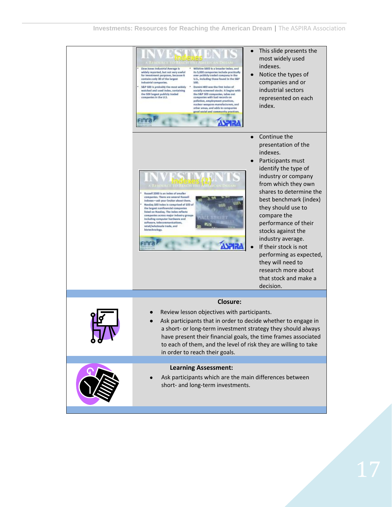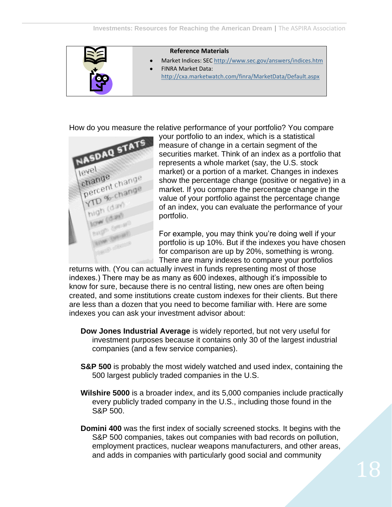

How do you measure the relative performance of your portfolio? You compare



your portfolio to an index, which is a statistical measure of change in a certain segment of the securities market. Think of an index as a portfolio that represents a whole market (say, the U.S. stock market) or a portion of a market. Changes in indexes show the percentage change (positive or negative) in a market. If you compare the percentage change in the value of your portfolio against the percentage change of an index, you can evaluate the performance of your portfolio.

For example, you may think you're doing well if your portfolio is up 10%. But if the indexes you have chosen for comparison are up by 20%, something is wrong. There are many indexes to compare your portfolios

returns with. (You can actually invest in funds representing most of those indexes.) There may be as many as 600 indexes, although it's impossible to know for sure, because there is no central listing, new ones are often being created, and some institutions create custom indexes for their clients. But there are less than a dozen that you need to become familiar with. Here are some indexes you can ask your investment advisor about:

- **Dow Jones Industrial Average** is widely reported, but not very useful for investment purposes because it contains only 30 of the largest industrial companies (and a few service companies).
- **S&P 500** is probably the most widely watched and used index, containing the 500 largest publicly traded companies in the U.S.
- **Wilshire 5000** is a broader index, and its 5,000 companies include practically every publicly traded company in the U.S., including those found in the S&P 500.
- **Domini 400** was the first index of socially screened stocks. It begins with the S&P 500 companies, takes out companies with bad records on pollution, employment practices, nuclear weapons manufacturers, and other areas, and adds in companies with particularly good social and community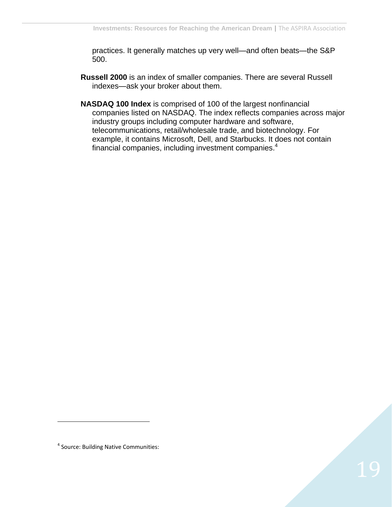practices. It generally matches up very well—and often beats—the S&P 500.

- **Russell 2000** is an index of smaller companies. There are several Russell indexes—ask your broker about them.
- **NASDAQ 100 Index** is comprised of 100 of the largest nonfinancial companies listed on NASDAQ. The index reflects companies across major industry groups including computer hardware and software, telecommunications, retail/wholesale trade, and biotechnology. For example, it contains Microsoft, Dell, and Starbucks. It does not contain financial companies, including investment companies.<sup>4</sup>

 $\overline{a}$ 

<sup>4</sup> Source: Building Native Communities: